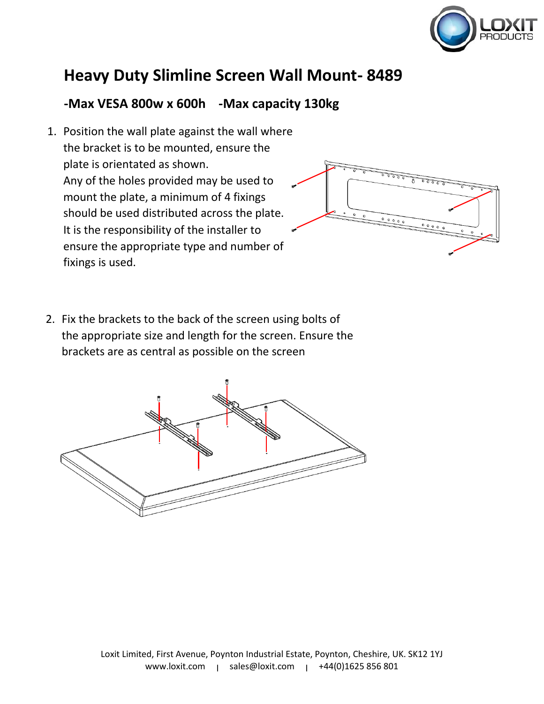

## **Heavy Duty Slimline Screen Wall Mount- 8489**

## **-Max VESA 800w x 600h -Max capacity 130kg**

1. Position the wall plate against the wall where the bracket is to be mounted, ensure the plate is orientated as shown. Any of the holes provided may be used to mount the plate, a minimum of 4 fixings should be used distributed across the plate. It is the responsibility of the installer to ensure the appropriate type and number of fixings is used.



2. Fix the brackets to the back of the screen using bolts of the appropriate size and length for the screen. Ensure the brackets are as central as possible on the screen